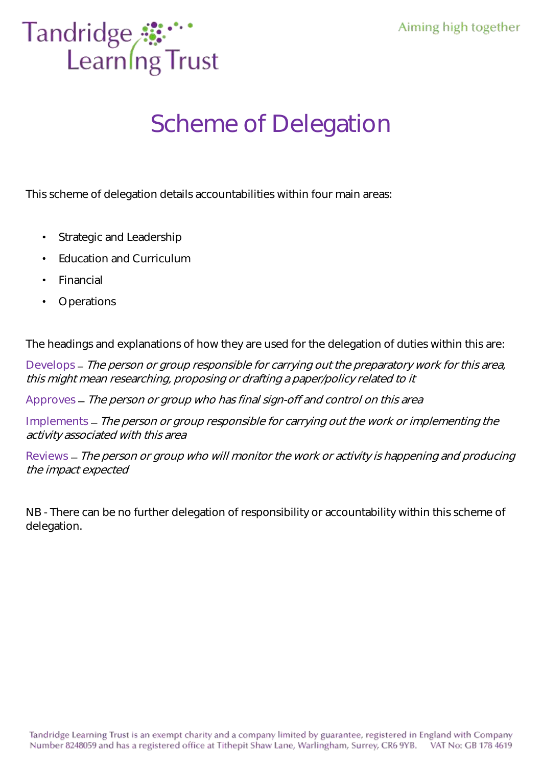

## Scheme of Delegation

This scheme of delegation details accountabilities within four main areas:

- Strategic and Leadership
- Education and Curriculum
- **Financial**
- **Operations**

The headings and explanations of how they are used for the delegation of duties within this are:

Develops – The person or group responsible for carrying out the preparatory work for this area, this might mean researching, proposing or drafting a paper/policy related to it

Approves - The person or group who has final sign-off and control on this area

Implements – The person or group responsible for carrying out the work or implementing the activity associated with this area

Reviews – The person or group who will monitor the work or activity is happening and producing the impact expected

NB - There can be no further delegation of responsibility or accountability within this scheme of delegation.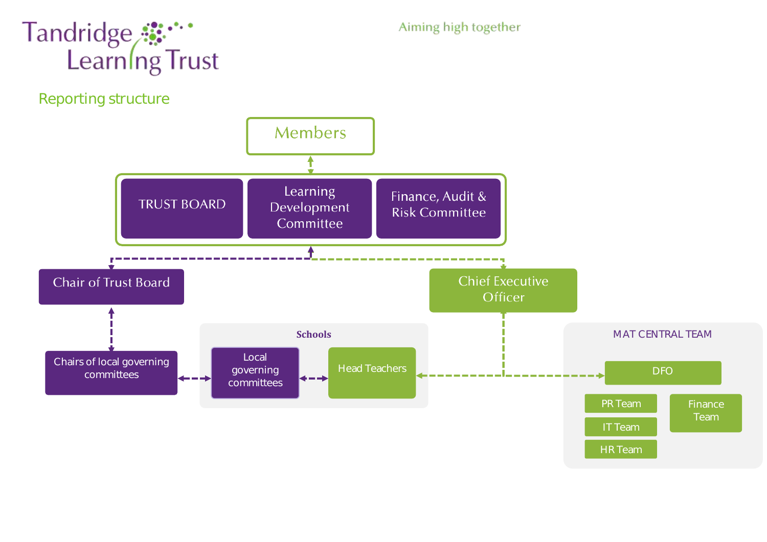

Aiming high together

Reporting structure

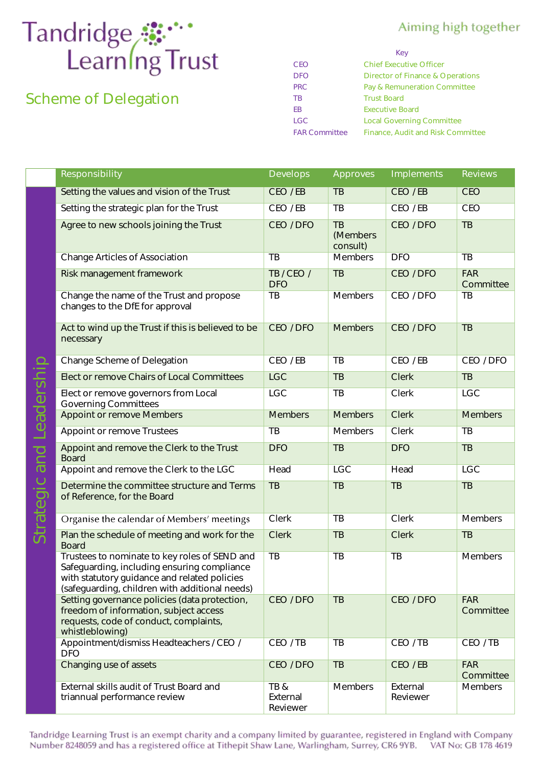## Tandridge **S**<sup>...</sup><br>Learning Trust

## Scheme of Delegation

## Aiming high together

|                      | Key                               |
|----------------------|-----------------------------------|
| CFO                  | <b>Chief Executive Officer</b>    |
| DEO                  | Director of Finance & Operations  |
| <b>PRC</b>           | Pay & Remuneration Committee      |
| <b>TB</b>            | <b>Trust Board</b>                |
| FB                   | <b>Executive Board</b>            |
| I GC                 | <b>Local Governing Committee</b>  |
| <b>FAR Committee</b> | Finance, Audit and Risk Committee |

|                   | Responsibility                                                                                                                                                                                 | Develops                    | Approves                                | Implements           | <b>Reviews</b>          |
|-------------------|------------------------------------------------------------------------------------------------------------------------------------------------------------------------------------------------|-----------------------------|-----------------------------------------|----------------------|-------------------------|
|                   | Setting the values and vision of the Trust                                                                                                                                                     | CEO/EB                      | TB                                      | CEO / EB             | <b>CEO</b>              |
|                   | Setting the strategic plan for the Trust                                                                                                                                                       | CEO / EB                    | TB                                      | CEO / EB             | <b>CEO</b>              |
|                   | Agree to new schools joining the Trust                                                                                                                                                         | CEO / DFO                   | $\overline{AB}$<br>(Members<br>consult) | CEO / DFO            | $\overline{TB}$         |
|                   | <b>Change Articles of Association</b>                                                                                                                                                          | TB                          | <b>Members</b>                          | <b>DFO</b>           | <b>TB</b>               |
|                   | Risk management framework                                                                                                                                                                      | TB / CEO /<br><b>DFO</b>    | $\overline{TB}$                         | CEO / DFO            | <b>FAR</b><br>Committee |
|                   | Change the name of the Trust and propose<br>changes to the DfE for approval                                                                                                                    | TB                          | Members                                 | CEO / DFO            | $\overline{TB}$         |
|                   | Act to wind up the Trust if this is believed to be<br>necessary                                                                                                                                | CEO / DFO                   | <b>Members</b>                          | CEO / DFO            | TB                      |
|                   | Change Scheme of Delegation                                                                                                                                                                    | CEO / EB                    | TB                                      | CEO / EB             | CEO / DFO               |
|                   | Elect or remove Chairs of Local Committees                                                                                                                                                     | <b>LGC</b>                  | TB                                      | <b>Clerk</b>         | TB                      |
|                   | Elect or remove governors from Local<br><b>Governing Committees</b>                                                                                                                            | <b>LGC</b>                  | TB                                      | Clerk                | <b>LGC</b>              |
| Leadership<br>and | Appoint or remove Members                                                                                                                                                                      | <b>Members</b>              | <b>Members</b>                          | <b>Clerk</b>         | <b>Members</b>          |
|                   | Appoint or remove Trustees                                                                                                                                                                     | TB                          | Members                                 | Clerk                | TB                      |
|                   | Appoint and remove the Clerk to the Trust<br><b>Board</b>                                                                                                                                      | <b>DFO</b>                  | TB                                      | <b>DFO</b>           | TB                      |
|                   | Appoint and remove the Clerk to the LGC                                                                                                                                                        | Head                        | <b>LGC</b>                              | Head                 | <b>LGC</b>              |
| Strategic         | Determine the committee structure and Terms<br>of Reference, for the Board                                                                                                                     | TB                          | TB                                      | TB                   | TB                      |
|                   | Organise the calendar of Members' meetings                                                                                                                                                     | Clerk                       | TB                                      | <b>Clerk</b>         | Members                 |
|                   | Plan the schedule of meeting and work for the<br><b>Board</b>                                                                                                                                  | Clerk                       | TB                                      | <b>Clerk</b>         | TB                      |
|                   | Trustees to nominate to key roles of SEND and<br>Safeguarding, including ensuring compliance<br>with statutory guidance and related policies<br>(safeguarding, children with additional needs) | <b>TB</b>                   | $\overline{TB}$                         | $\overline{TB}$      | Members                 |
|                   | Setting governance policies (data protection,<br>freedom of information, subject access<br>requests, code of conduct, complaints,<br>whistleblowing)                                           | CEO / DFO                   | TB                                      | CEO / DFO            | <b>FAR</b><br>Committee |
|                   | Appointment/dismiss Headteachers / CEO /<br><b>DFO</b>                                                                                                                                         | CEO/TB                      | TB                                      | CEO/TB               | CEO / TB                |
|                   | Changing use of assets                                                                                                                                                                         | CEO / DFO                   | TB                                      | CEO/EB               | <b>FAR</b><br>Committee |
|                   | External skills audit of Trust Board and<br>triannual performance review                                                                                                                       | TB&<br>External<br>Reviewer | Members                                 | External<br>Reviewer | <b>Members</b>          |

Tandridge Learning Trust is an exempt charity and a company limited by guarantee, registered in England with Company Number 8248059 and has a registered office at Tithepit Shaw Lane, Warlingham, Surrey, CR6 9YB. VAT No: GB 178 4619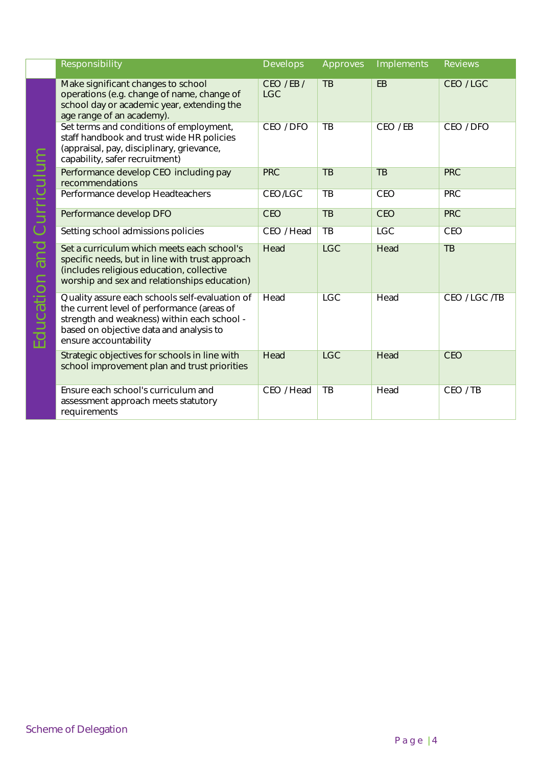| Responsibility                                                                                                                                                                                                  | Develops              | Approves        | Implements      | Reviews       |
|-----------------------------------------------------------------------------------------------------------------------------------------------------------------------------------------------------------------|-----------------------|-----------------|-----------------|---------------|
| Make significant changes to school<br>operations (e.g. change of name, change of<br>school day or academic year, extending the<br>age range of an academy).                                                     | CEO/EB/<br><b>LGC</b> | TB              | EB              | CEO/LGC       |
| Set terms and conditions of employment,<br>staff handbook and trust wide HR policies<br>(appraisal, pay, disciplinary, grievance,<br>capability, safer recruitment)                                             | CEO / DFO             | TB              | CEO/EB          | CEO / DFO     |
| Performance develop CEO including pay<br>recommendations                                                                                                                                                        | <b>PRC</b>            | $\overline{TB}$ | $\overline{AB}$ | <b>PRC</b>    |
| Performance develop Headteachers                                                                                                                                                                                | <b>CEO/LGC</b>        | TB              | CEO             | <b>PRC</b>    |
| Performance develop DFO                                                                                                                                                                                         | <b>CEO</b>            | $\overline{TB}$ | <b>CEO</b>      | <b>PRC</b>    |
| Setting school admissions policies                                                                                                                                                                              | CEO / Head            | TB              | <b>LGC</b>      | <b>CEO</b>    |
| Set a curriculum which meets each school's<br>specific needs, but in line with trust approach<br>(includes religious education, collective<br>worship and sex and relationships education)                      | Head                  | <b>LGC</b>      | Head            | TB            |
| Quality assure each schools self-evaluation of<br>the current level of performance (areas of<br>strength and weakness) within each school -<br>based on objective data and analysis to<br>ensure accountability | Head                  | <b>LGC</b>      | Head            | CEO / LGC /TB |
| Strategic objectives for schools in line with<br>school improvement plan and trust priorities                                                                                                                   | Head                  | <b>LGC</b>      | Head            | <b>CEO</b>    |
| Ensure each school's curriculum and<br>assessment approach meets statutory<br>requirements                                                                                                                      | CEO / Head            | TB              | Head            | CEO / TB      |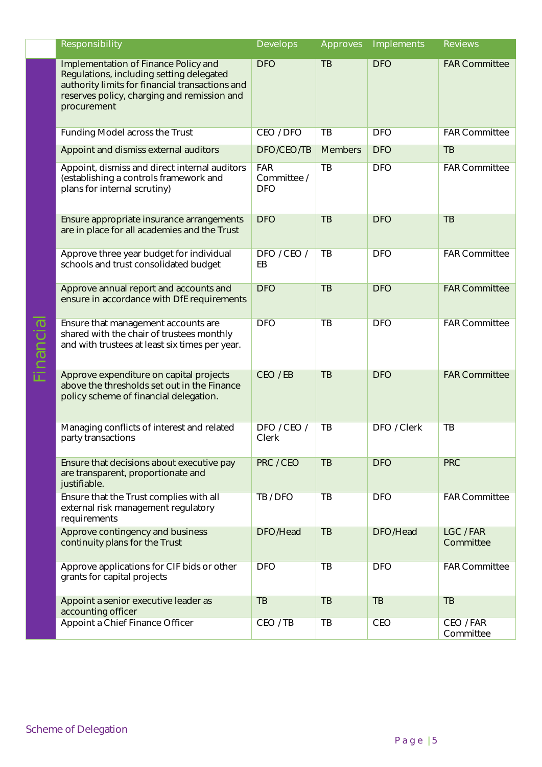| Responsibility                                                                                                                                                                                    | Develops                                | Approves        | Implements  | Reviews                |
|---------------------------------------------------------------------------------------------------------------------------------------------------------------------------------------------------|-----------------------------------------|-----------------|-------------|------------------------|
| Implementation of Finance Policy and<br>Regulations, including setting delegated<br>authority limits for financial transactions and<br>reserves policy, charging and remission and<br>procurement | <b>DFO</b>                              | $\overline{TB}$ | <b>DFO</b>  | <b>FAR Committee</b>   |
| Funding Model across the Trust                                                                                                                                                                    | CEO / DFO                               | TB              | <b>DFO</b>  | <b>FAR Committee</b>   |
| Appoint and dismiss external auditors                                                                                                                                                             | DFO/CEO/TB                              | <b>Members</b>  | <b>DFO</b>  | TB                     |
| Appoint, dismiss and direct internal auditors<br>(establishing a controls framework and<br>plans for internal scrutiny)                                                                           | <b>FAR</b><br>Committee /<br><b>DFO</b> | $\overline{TB}$ | <b>DFO</b>  | <b>FAR Committee</b>   |
| Ensure appropriate insurance arrangements<br>are in place for all academies and the Trust                                                                                                         | <b>DFO</b>                              | TB              | <b>DFO</b>  | TB                     |
| Approve three year budget for individual<br>schools and trust consolidated budget                                                                                                                 | DFO / CEO /<br>EB                       | TB              | <b>DFO</b>  | <b>FAR Committee</b>   |
| Approve annual report and accounts and<br>ensure in accordance with DfE requirements                                                                                                              | <b>DFO</b>                              | TB              | <b>DFO</b>  | <b>FAR Committee</b>   |
| Ensure that management accounts are<br>shared with the chair of trustees monthly<br>and with trustees at least six times per year.                                                                | <b>DFO</b>                              | TB              | <b>DFO</b>  | <b>FAR Committee</b>   |
| Approve expenditure on capital projects<br>above the thresholds set out in the Finance<br>policy scheme of financial delegation.                                                                  | CEO / EB                                | $\overline{TB}$ | <b>DFO</b>  | <b>FAR Committee</b>   |
| Managing conflicts of interest and related<br>party transactions                                                                                                                                  | DFO / CEO /<br>Clerk                    | TB              | DFO / Clerk | TB                     |
| Ensure that decisions about executive pay<br>are transparent, proportionate and<br>justifiable.                                                                                                   | PRC / CEO                               | TB              | <b>DFO</b>  | <b>PRC</b>             |
| Ensure that the Trust complies with all<br>external risk management regulatory<br>requirements                                                                                                    | TB / DFO                                | $\overline{TB}$ | <b>DFO</b>  | <b>FAR Committee</b>   |
| Approve contingency and business<br>continuity plans for the Trust                                                                                                                                | DFO/Head                                | TB              | DFO/Head    | LGC/FAR<br>Committee   |
| Approve applications for CIF bids or other<br>grants for capital projects                                                                                                                         | <b>DFO</b>                              | $\overline{TB}$ | <b>DFO</b>  | <b>FAR Committee</b>   |
| Appoint a senior executive leader as<br>accounting officer                                                                                                                                        | TB                                      | TB              | TB          | TB                     |
| Appoint a Chief Finance Officer                                                                                                                                                                   | CEO / TB                                | TB              | CEO         | CEO / FAR<br>Committee |

Financial

Scheme of Delegation